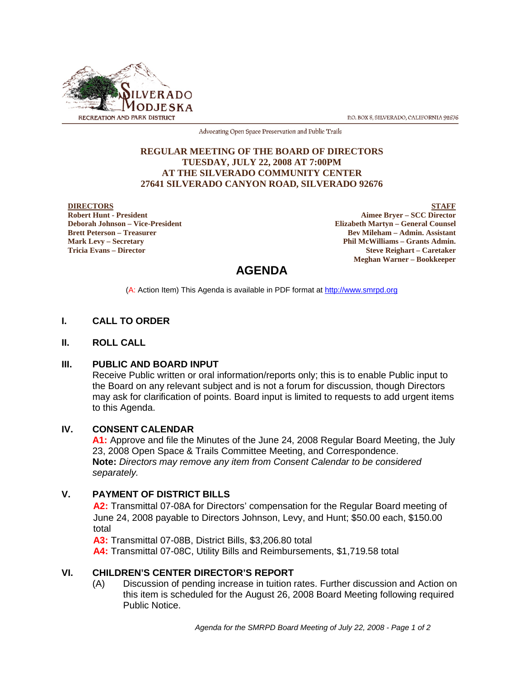

P.O. BOX 8, SILVERADO, CALIFORNIA 92676

Advocating Open Space Preservation and Public Trails

#### **REGULAR MEETING OF THE BOARD OF DIRECTORS TUESDAY, JULY 22, 2008 AT 7:00PM AT THE SILVERADO COMMUNITY CENTER 27641 SILVERADO CANYON ROAD, SILVERADO 92676**

#### **DIRECTORS**

**Robert Hunt - President Deborah Johnson – Vice-President Brett Peterson – Treasurer Mark Levy – Secretary Tricia Evans – Director**

**STAFF Aimee Bryer – SCC Director Elizabeth Martyn – General Counsel Bev Mileham – Admin. Assistant Phil McWilliams – Grants Admin. Steve Reighart – Caretaker Meghan Warner – Bookkeeper**

# **AGENDA**

(A: Action Item) This Agenda is available in PDF format at http://www.smrpd.org

### **I. CALL TO ORDER**

#### **II. ROLL CALL**

#### **III. PUBLIC AND BOARD INPUT**

Receive Public written or oral information/reports only; this is to enable Public input to the Board on any relevant subject and is not a forum for discussion, though Directors may ask for clarification of points. Board input is limited to requests to add urgent items to this Agenda.

# **IV. CONSENT CALENDAR**

**A1:** Approve and file the Minutes of the June 24, 2008 Regular Board Meeting, the July 23, 2008 Open Space & Trails Committee Meeting, and Correspondence. **Note:** *Directors may remove any item from Consent Calendar to be considered separately.*

# **V. PAYMENT OF DISTRICT BILLS**

**A2:** Transmittal 07-08A for Directors' compensation for the Regular Board meeting of June 24, 2008 payable to Directors Johnson, Levy, and Hunt; \$50.00 each, \$150.00 total

**A3:** Transmittal 07-08B, District Bills, \$3,206.80 total

**A4:** Transmittal 07-08C, Utility Bills and Reimbursements, \$1,719.58 total

#### **VI. CHILDREN'S CENTER DIRECTOR'S REPORT**

(A) Discussion of pending increase in tuition rates. Further discussion and Action on this item is scheduled for the August 26, 2008 Board Meeting following required Public Notice.